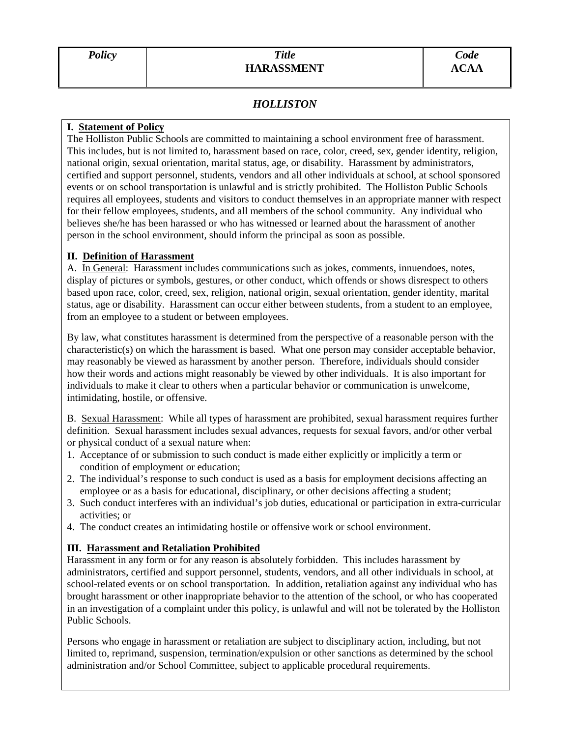# *HOLLISTON*

#### **I. Statement of Policy**

The Holliston Public Schools are committed to maintaining a school environment free of harassment. This includes, but is not limited to, harassment based on race, color, creed, sex, gender identity, religion, national origin, sexual orientation, marital status, age, or disability. Harassment by administrators, certified and support personnel, students, vendors and all other individuals at school, at school sponsored events or on school transportation is unlawful and is strictly prohibited. The Holliston Public Schools requires all employees, students and visitors to conduct themselves in an appropriate manner with respect for their fellow employees, students, and all members of the school community. Any individual who believes she/he has been harassed or who has witnessed or learned about the harassment of another person in the school environment, should inform the principal as soon as possible.

#### **II. Definition of Harassment**

A. In General: Harassment includes communications such as jokes, comments, innuendoes, notes, display of pictures or symbols, gestures, or other conduct, which offends or shows disrespect to others based upon race, color, creed, sex, religion, national origin, sexual orientation, gender identity, marital status, age or disability. Harassment can occur either between students, from a student to an employee, from an employee to a student or between employees.

By law, what constitutes harassment is determined from the perspective of a reasonable person with the characteristic(s) on which the harassment is based. What one person may consider acceptable behavior, may reasonably be viewed as harassment by another person. Therefore, individuals should consider how their words and actions might reasonably be viewed by other individuals. It is also important for individuals to make it clear to others when a particular behavior or communication is unwelcome, intimidating, hostile, or offensive.

B. Sexual Harassment: While all types of harassment are prohibited, sexual harassment requires further definition. Sexual harassment includes sexual advances, requests for sexual favors, and/or other verbal or physical conduct of a sexual nature when:

- 1. Acceptance of or submission to such conduct is made either explicitly or implicitly a term or condition of employment or education;
- 2. The individual's response to such conduct is used as a basis for employment decisions affecting an employee or as a basis for educational, disciplinary, or other decisions affecting a student;
- 3. Such conduct interferes with an individual's job duties, educational or participation in extra-curricular activities; or
- 4. The conduct creates an intimidating hostile or offensive work or school environment.

### **III. Harassment and Retaliation Prohibited**

Harassment in any form or for any reason is absolutely forbidden. This includes harassment by administrators, certified and support personnel, students, vendors, and all other individuals in school, at school-related events or on school transportation. In addition, retaliation against any individual who has brought harassment or other inappropriate behavior to the attention of the school, or who has cooperated in an investigation of a complaint under this policy, is unlawful and will not be tolerated by the Holliston Public Schools.

Persons who engage in harassment or retaliation are subject to disciplinary action, including, but not limited to, reprimand, suspension, termination/expulsion or other sanctions as determined by the school administration and/or School Committee, subject to applicable procedural requirements.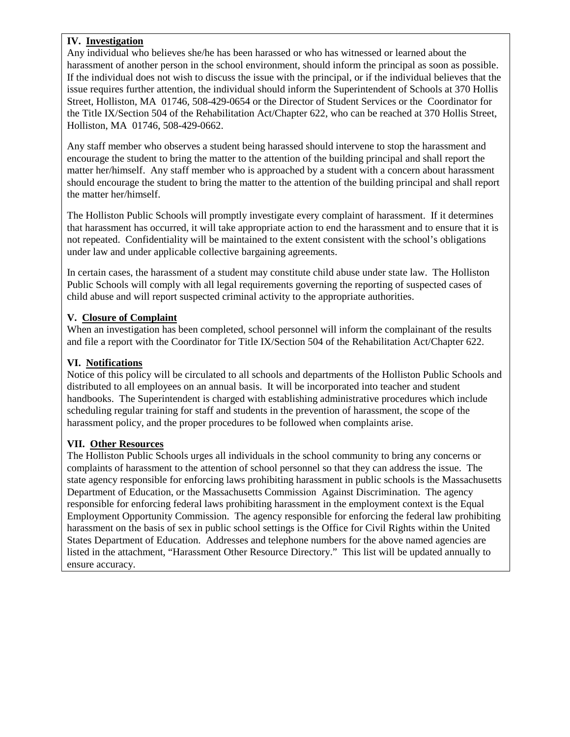## **IV. Investigation**

Any individual who believes she/he has been harassed or who has witnessed or learned about the harassment of another person in the school environment, should inform the principal as soon as possible. If the individual does not wish to discuss the issue with the principal, or if the individual believes that the issue requires further attention, the individual should inform the Superintendent of Schools at 370 Hollis Street, Holliston, MA 01746, 508-429-0654 or the Director of Student Services or the Coordinator for the Title IX/Section 504 of the Rehabilitation Act/Chapter 622, who can be reached at 370 Hollis Street, Holliston, MA 01746, 508-429-0662.

Any staff member who observes a student being harassed should intervene to stop the harassment and encourage the student to bring the matter to the attention of the building principal and shall report the matter her/himself. Any staff member who is approached by a student with a concern about harassment should encourage the student to bring the matter to the attention of the building principal and shall report the matter her/himself.

The Holliston Public Schools will promptly investigate every complaint of harassment. If it determines that harassment has occurred, it will take appropriate action to end the harassment and to ensure that it is not repeated. Confidentiality will be maintained to the extent consistent with the school's obligations under law and under applicable collective bargaining agreements.

In certain cases, the harassment of a student may constitute child abuse under state law. The Holliston Public Schools will comply with all legal requirements governing the reporting of suspected cases of child abuse and will report suspected criminal activity to the appropriate authorities.

## **V. Closure of Complaint**

When an investigation has been completed, school personnel will inform the complainant of the results and file a report with the Coordinator for Title IX/Section 504 of the Rehabilitation Act/Chapter 622.

# **VI. Notifications**

Notice of this policy will be circulated to all schools and departments of the Holliston Public Schools and distributed to all employees on an annual basis. It will be incorporated into teacher and student handbooks. The Superintendent is charged with establishing administrative procedures which include scheduling regular training for staff and students in the prevention of harassment, the scope of the harassment policy, and the proper procedures to be followed when complaints arise.

### **VII. Other Resources**

The Holliston Public Schools urges all individuals in the school community to bring any concerns or complaints of harassment to the attention of school personnel so that they can address the issue. The state agency responsible for enforcing laws prohibiting harassment in public schools is the Massachusetts Department of Education, or the Massachusetts Commission Against Discrimination. The agency responsible for enforcing federal laws prohibiting harassment in the employment context is the Equal Employment Opportunity Commission. The agency responsible for enforcing the federal law prohibiting harassment on the basis of sex in public school settings is the Office for Civil Rights within the United States Department of Education. Addresses and telephone numbers for the above named agencies are listed in the attachment, "Harassment Other Resource Directory." This list will be updated annually to ensure accuracy.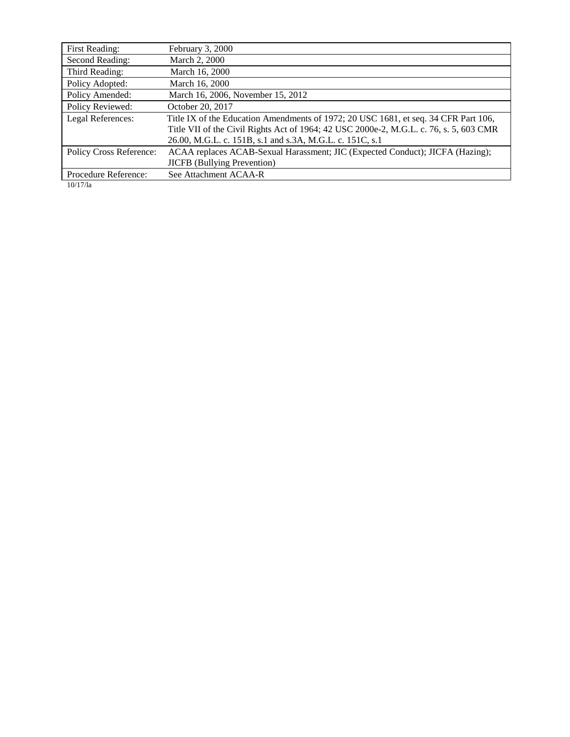| First Reading:          | February 3, 2000                                                                       |  |  |
|-------------------------|----------------------------------------------------------------------------------------|--|--|
| Second Reading:         | March 2, 2000                                                                          |  |  |
| Third Reading:          | March 16, 2000                                                                         |  |  |
| Policy Adopted:         | March 16, 2000                                                                         |  |  |
| Policy Amended:         | March 16, 2006, November 15, 2012                                                      |  |  |
| Policy Reviewed:        | October 20, 2017                                                                       |  |  |
| Legal References:       | Title IX of the Education Amendments of 1972; 20 USC 1681, et seq. 34 CFR Part 106,    |  |  |
|                         | Title VII of the Civil Rights Act of 1964; 42 USC 2000e-2, M.G.L. c. 76, s. 5, 603 CMR |  |  |
|                         | 26.00, M.G.L. c. 151B, s.1 and s.3A, M.G.L. c. 151C, s.1                               |  |  |
| Policy Cross Reference: | ACAA replaces ACAB-Sexual Harassment; JIC (Expected Conduct); JICFA (Hazing);          |  |  |
|                         | <b>JICFB</b> (Bullying Prevention)                                                     |  |  |
| Procedure Reference:    | See Attachment ACAA-R                                                                  |  |  |

10/17/la